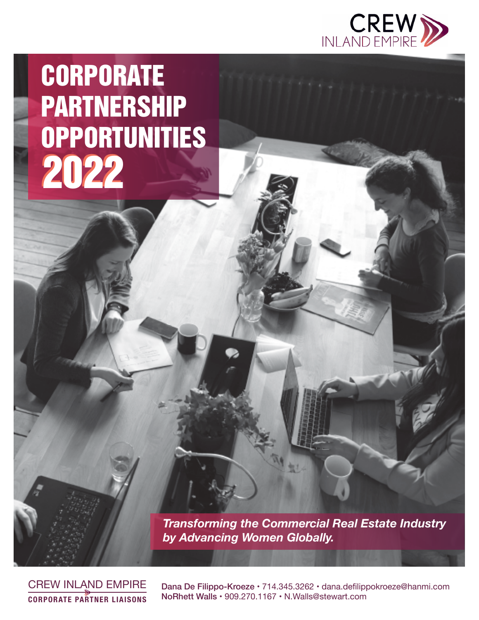

# **CORPORATE** PARTNERSHIP **OPPORTUNITIES** 2022

*Transforming the Commercial Real Estate Industry by Advancing Women Globally.*

CREW INLAND EMPIRE **CORPORATE PARTNER LIAISONS**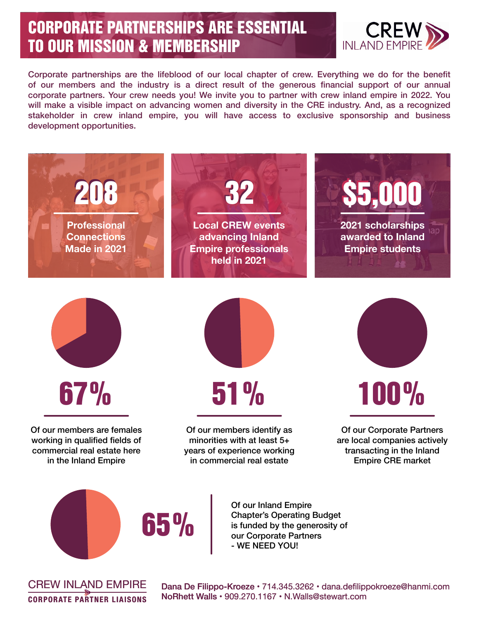# CORPORATE PARTNERSHIPS ARE ESSENTIAL TO OUR MISSION & MEMBERSHIP



Corporate partnerships are the lifeblood of our local chapter of crew. Everything we do for the benefit of our members and the industry is a direct result of the generous financial support of our annual corporate partners. Your crew needs you! We invite you to partner with crew inland empire in 2022. You will make a visible impact on advancing women and diversity in the CRE industry. And, as a recognized stakeholder in crew inland empire, you will have access to exclusive sponsorship and business development opportunities.



CREW INLAND EMPIRE **CORPORATE PARTNER LIAISONS**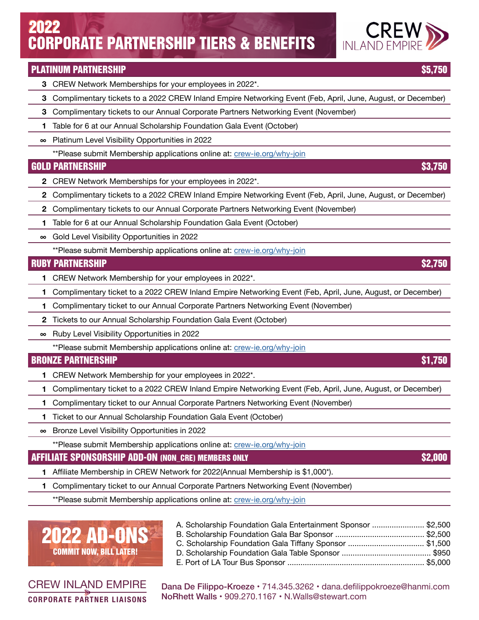## CORPORATE PARTNERSHIP TIERS & BENEFITS 2022

### PLATINUM PARTNERSHIP \$5,750

- **3** CREW Network Memberships for your employees in 2022\*.
- **3** Complimentary tickets to a 2022 CREW Inland Empire Networking Event (Feb, April, June, August, or December)
- **3** Complimentary tickets to our Annual Corporate Partners Networking Event (November)
- **1** Table for 6 at our Annual Scholarship Foundation Gala Event (October)
- **∞** Platinum Level Visibility Opportunities in 2022
	- \*\*Please submit Membership applications online at: [crew-ie.org/why-join](http://crew-ie.org/why-join)

### GOLD PARTNERSHIP \$3,750

- **2** CREW Network Memberships for your employees in 2022\*.
- **2** Complimentary tickets to a 2022 CREW Inland Empire Networking Event (Feb, April, June, August, or December)
- **2** Complimentary tickets to our Annual Corporate Partners Networking Event (November)
- **1** Table for 6 at our Annual Scholarship Foundation Gala Event (October)
- **∞** Gold Level Visibility Opportunities in 2022

\*\*Please submit Membership applications online at: [crew-ie.org/why-join](http://crew-ie.org/why-join)

### RUBY PARTNERSHIP \$2,750

- **1** CREW Network Membership for your employees in 2022\*.
- **1** Complimentary ticket to a 2022 CREW Inland Empire Networking Event (Feb, April, June, August, or December)
- **1** Complimentary ticket to our Annual Corporate Partners Networking Event (November)
- **2** Tickets to our Annual Scholarship Foundation Gala Event (October)
- **∞** Ruby Level Visibility Opportunities in 2022
	- \*\*Please submit Membership applications online at: [crew-ie.org/why-join](http://crew-ie.org/why-join)

### BRONZE PARTNERSHIP \$1,750

- **1** CREW Network Membership for your employees in 2022\*.
- **1** Complimentary ticket to a 2022 CREW Inland Empire Networking Event (Feb, April, June, August, or December)
- **1** Complimentary ticket to our Annual Corporate Partners Networking Event (November)
- **1** Ticket to our Annual Scholarship Foundation Gala Event (October)
- **∞** Bronze Level Visibility Opportunities in 2022

\*\*Please submit Membership applications online at: [crew-ie.org/why-join](http://crew-ie.org/why-join)

### AFFILIATE SPONSORSHIP ADD-ON (NON\_CRE) MEMBERS ONLY \$2,000

- **1** Affiliate Membership in CREW Network for 2022(Annual Membership is \$1,000\*).
- **1** Complimentary ticket to our Annual Corporate Partners Networking Event (November)

\*\*Please submit Membership applications online at: [crew-ie.org/why-join](http://crew-ie.org/why-join)

# 2022 AD-ONS **COMMIT NOW, BILL LATER**

CREW INLAND EMPIRE **CORPORATE PARTNER LIAISONS** A. Scholarship Foundation Gala Entertainment Sponsor ........................ \$2,500 B. Scholarship Foundation Gala Bar Sponsor ......................................... \$2,500 C. Scholarship Foundation Gala Tiffany Sponsor ................................... \$1,500 D. Scholarship Foundation Gala Table Sponsor ......................................... \$950 E. Port of LA Tour Bus Sponsor ............................................................... \$5,000